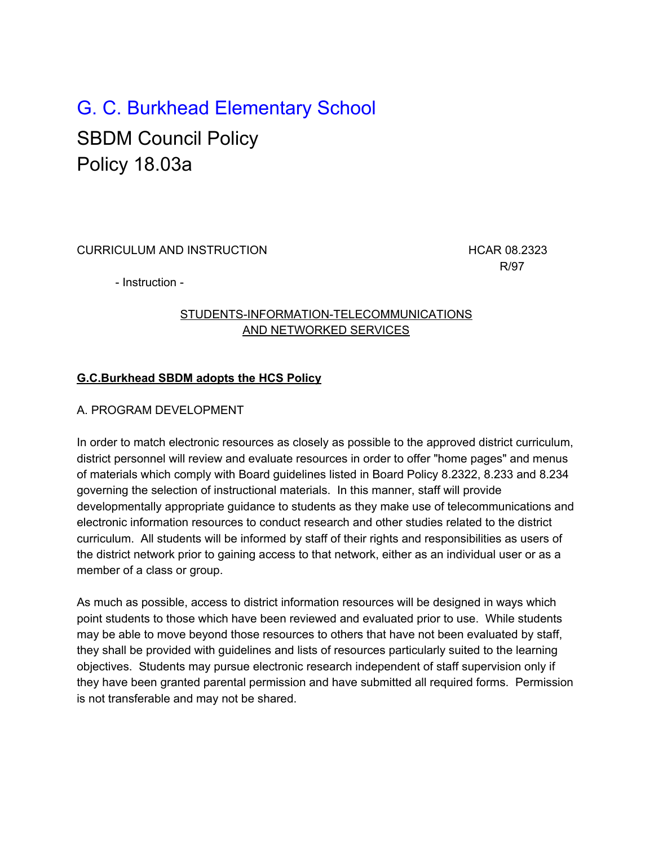# G. C. Burkhead Elementary School SBDM Council Policy Policy 18.03a

CURRICULUM AND INSTRUCTION **EXAMPLE 2018 12:323 HORACLE 100 HCAR 08.2323** 

R/97

- Instruction -

## STUDENTS-INFORMATION-TELECOMMUNICATIONS AND NETWORKED SERVICES

## **G.C.Burkhead SBDM adopts the HCS Policy**

### A. PROGRAM DEVELOPMENT

In order to match electronic resources as closely as possible to the approved district curriculum, district personnel will review and evaluate resources in order to offer "home pages" and menus of materials which comply with Board guidelines listed in Board Policy 8.2322, 8.233 and 8.234 governing the selection of instructional materials. In this manner, staff will provide developmentally appropriate guidance to students as they make use of telecommunications and electronic information resources to conduct research and other studies related to the district curriculum. All students will be informed by staff of their rights and responsibilities as users of the district network prior to gaining access to that network, either as an individual user or as a member of a class or group.

As much as possible, access to district information resources will be designed in ways which point students to those which have been reviewed and evaluated prior to use. While students may be able to move beyond those resources to others that have not been evaluated by staff, they shall be provided with guidelines and lists of resources particularly suited to the learning objectives. Students may pursue electronic research independent of staff supervision only if they have been granted parental permission and have submitted all required forms. Permission is not transferable and may not be shared.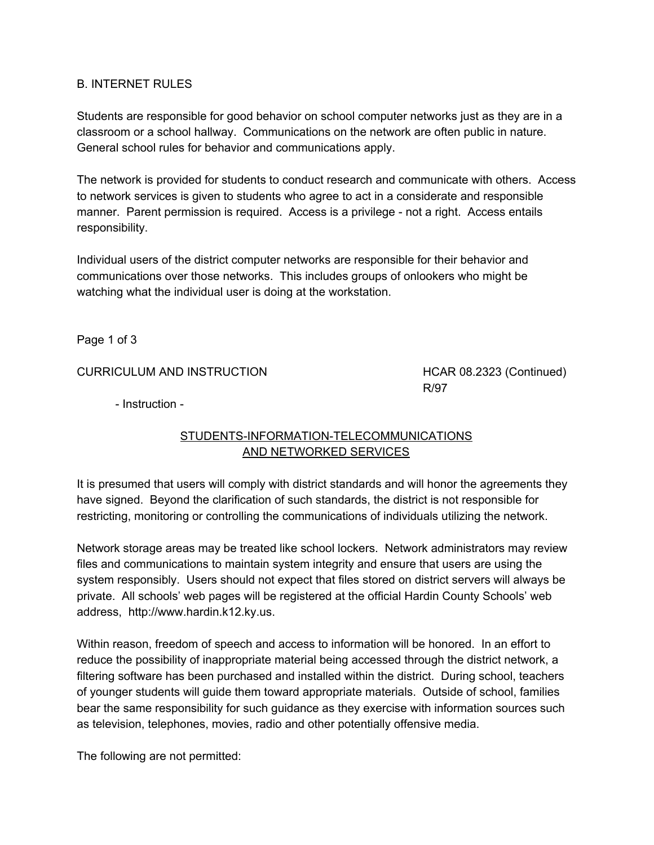#### B. INTERNET RULES

Students are responsible for good behavior on school computer networks just as they are in a classroom or a school hallway. Communications on the network are often public in nature. General school rules for behavior and communications apply.

The network is provided for students to conduct research and communicate with others. Access to network services is given to students who agree to act in a considerate and responsible manner. Parent permission is required. Access is a privilege - not a right. Access entails responsibility.

Individual users of the district computer networks are responsible for their behavior and communications over those networks. This includes groups of onlookers who might be watching what the individual user is doing at the workstation.

Page 1 of 3

#### CURRICULUM AND INSTRUCTION HCAR 08.2323 (Continued)

R/97

- Instruction -

#### STUDENTS-INFORMATION-TELECOMMUNICATIONS AND NETWORKED SERVICES

It is presumed that users will comply with district standards and will honor the agreements they have signed. Beyond the clarification of such standards, the district is not responsible for restricting, monitoring or controlling the communications of individuals utilizing the network.

Network storage areas may be treated like school lockers. Network administrators may review files and communications to maintain system integrity and ensure that users are using the system responsibly. Users should not expect that files stored on district servers will always be private. All schools' web pages will be registered at the official Hardin County Schools' web address, http://www.hardin.k12.ky.us.

Within reason, freedom of speech and access to information will be honored. In an effort to reduce the possibility of inappropriate material being accessed through the district network, a filtering software has been purchased and installed within the district. During school, teachers of younger students will guide them toward appropriate materials. Outside of school, families bear the same responsibility for such guidance as they exercise with information sources such as television, telephones, movies, radio and other potentially offensive media.

The following are not permitted: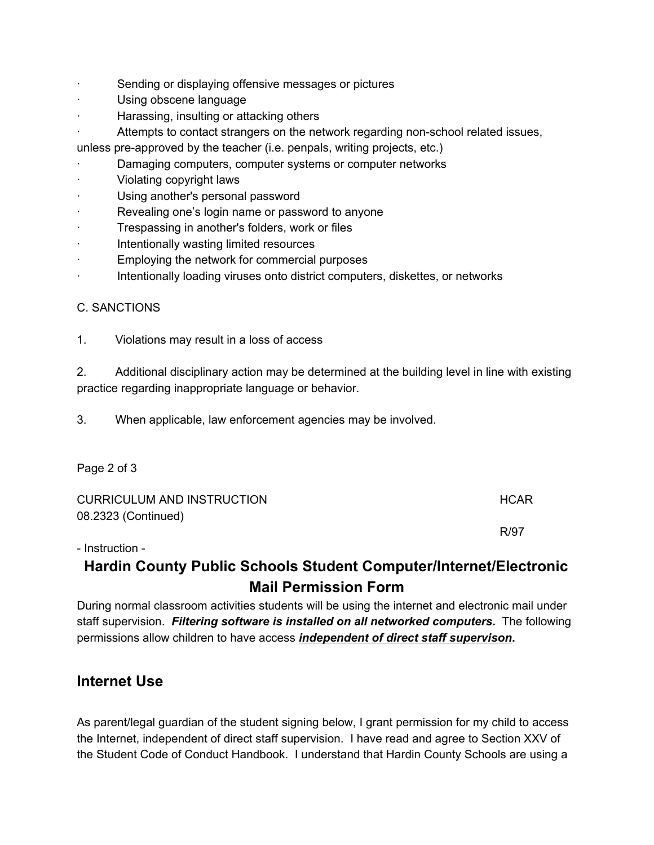- Sending or displaying offensive messages or pictures
- Using obscene language
- · Harassing, insulting or attacking others
- · Attempts to contact strangers on the network regarding non-school related issues,

unless pre-approved by the teacher (i.e. penpals, writing projects, etc.)

- Damaging computers, computer systems or computer networks
- · Violating copyright laws
- Using another's personal password
- Revealing one's login name or password to anyone
- Trespassing in another's folders, work or files
- · Intentionally wasting limited resources
- Employing the network for commercial purposes
- Intentionally loading viruses onto district computers, diskettes, or networks

### C. SANCTIONS

1. Violations may result in a loss of access

2. Additional disciplinary action may be determined at the building level in line with existing practice regarding inappropriate language or behavior.

3. When applicable, law enforcement agencies may be involved.

Page 2 of 3

| CURRICULUM AND INSTRUCTION | HCAR. |
|----------------------------|-------|
| 08.2323 (Continued)        |       |
|                            | R/97  |
| - Instruction -            |       |

# **Hardin County Public Schools Student Computer/Internet/Electronic Mail Permission Form**

During normal classroom activities students will be using the internet and electronic mail under staff supervision. *Filtering software is installed on all networked computers***.** The following permissions allow children to have access *independent of direct staff supervison***.**

# **Internet Use**

As parent/legal guardian of the student signing below, I grant permission for my child to access the Internet, independent of direct staff supervision. I have read and agree to Section XXV of the Student Code of Conduct Handbook. I understand that Hardin County Schools are using a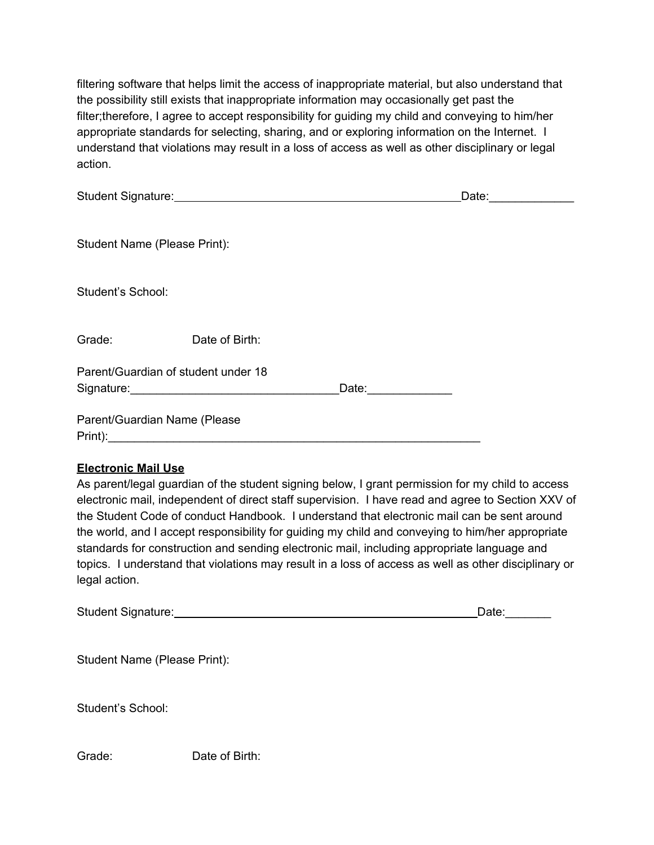filtering software that helps limit the access of inappropriate material, but also understand that the possibility still exists that inappropriate information may occasionally get past the filter;therefore, I agree to accept responsibility for guiding my child and conveying to him/her appropriate standards for selecting, sharing, and or exploring information on the Internet. I understand that violations may result in a loss of access as well as other disciplinary or legal action.

|                                                              | Student Signature: Management Student Signature: |            | Date: | <b>Contract Contract Contract</b> |
|--------------------------------------------------------------|--------------------------------------------------|------------|-------|-----------------------------------|
| Student Name (Please Print):                                 |                                                  |            |       |                                   |
| Student's School:                                            |                                                  |            |       |                                   |
| Grade:                                                       | Date of Birth:                                   |            |       |                                   |
| Parent/Guardian of student under 18<br>Signature: Signature: |                                                  | Date: 2008 |       |                                   |
| Parent/Guardian Name (Please<br>Print):                      |                                                  |            |       |                                   |

#### **Electronic Mail Use**

As parent/legal guardian of the student signing below, I grant permission for my child to access electronic mail, independent of direct staff supervision. I have read and agree to Section XXV of the Student Code of conduct Handbook. I understand that electronic mail can be sent around the world, and I accept responsibility for guiding my child and conveying to him/her appropriate standards for construction and sending electronic mail, including appropriate language and topics. I understand that violations may result in a loss of access as well as other disciplinary or legal action.

| <b>Student Signature:</b> | Date: |
|---------------------------|-------|
|                           |       |

Student Name (Please Print):

Student's School:

Grade: Date of Birth: